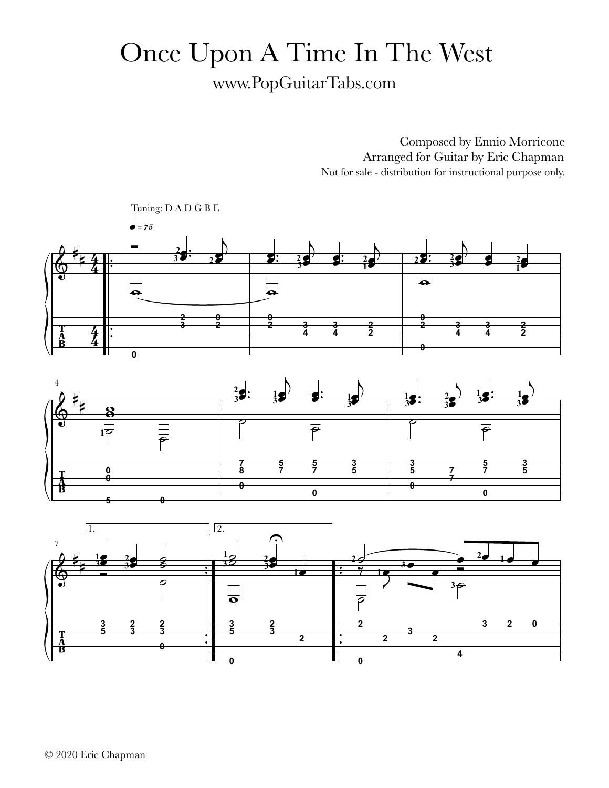## Once Upon A Time In The West www.PopGuitarTabs.com

Composed by Ennio Morricone Arranged for Guitar by Eric Chapman Not for sale - distribution for instructional purpose only.

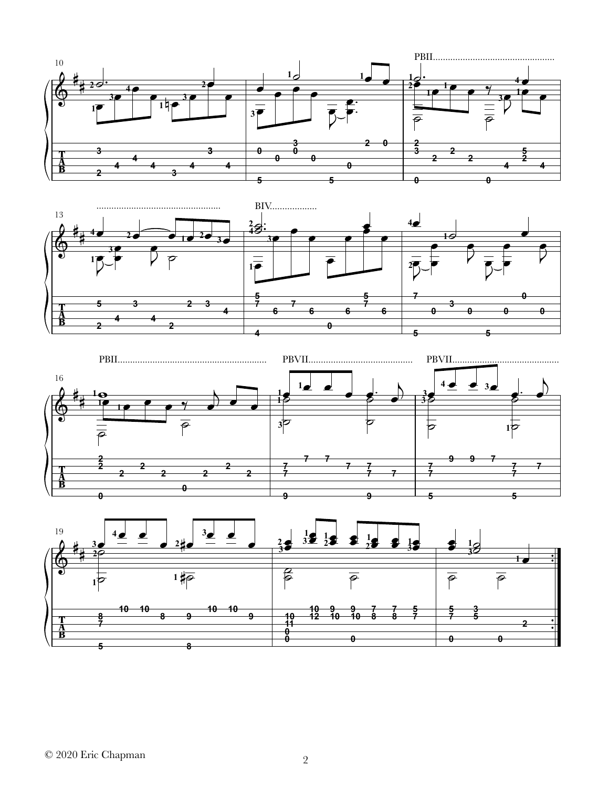